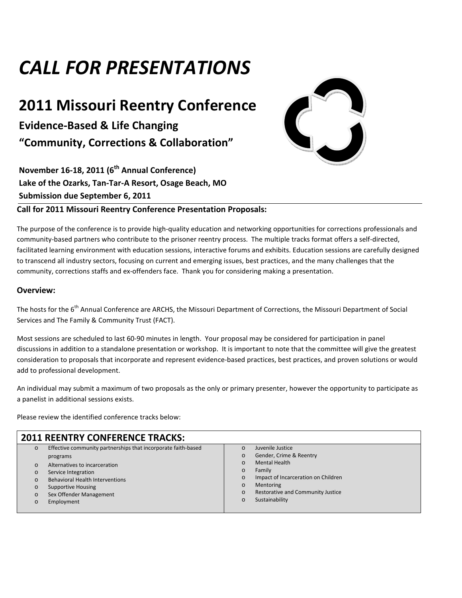# *CALL FOR PRESENTATIONS*

## **2011 Missouri Reentry Conference**

**Evidence-Based & Life Changing "Community, Corrections & Collaboration"** 

**November 16-18, 2011 (6th Annual Conference) Lake of the Ozarks, Tan-Tar-A Resort, Osage Beach, MO Submission due September 6, 2011** 



#### **Call for 2011 Missouri Reentry Conference Presentation Proposals:**

The purpose of the conference is to provide high-quality education and networking opportunities for corrections professionals and community-based partners who contribute to the prisoner reentry process. The multiple tracks format offers a self-directed, facilitated learning environment with education sessions, interactive forums and exhibits. Education sessions are carefully designed to transcend all industry sectors, focusing on current and emerging issues, best practices, and the many challenges that the community, corrections staffs and ex-offenders face. Thank you for considering making a presentation.

#### **Overview:**

The hosts for the 6<sup>th</sup> Annual Conference are ARCHS, the Missouri Department of Corrections, the Missouri Department of Social Services and The Family & Community Trust (FACT).

Most sessions are scheduled to last 60-90 minutes in length. Your proposal may be considered for participation in panel discussions in addition to a standalone presentation or workshop. It is important to note that the committee will give the greatest consideration to proposals that incorporate and represent evidence-based practices, best practices, and proven solutions or would add to professional development.

An individual may submit a maximum of two proposals as the only or primary presenter, however the opportunity to participate as a panelist in additional sessions exists.

Please review the identified conference tracks below:

| <b>2011 REENTRY CONFERENCE TRACKS:</b>                                                                                                                                                                                                                                                                                         |                                                                                                                                                                                                                                                                            |  |
|--------------------------------------------------------------------------------------------------------------------------------------------------------------------------------------------------------------------------------------------------------------------------------------------------------------------------------|----------------------------------------------------------------------------------------------------------------------------------------------------------------------------------------------------------------------------------------------------------------------------|--|
| Effective community partnerships that incorporate faith-based<br>$\circ$<br>programs<br>Alternatives to incarceration<br>$\circ$<br>Service Integration<br>$\circ$<br><b>Behavioral Health Interventions</b><br>$\circ$<br><b>Supportive Housing</b><br>$\circ$<br>Sex Offender Management<br>$\circ$<br>Employment<br>$\circ$ | Juvenile Justice<br>$\Omega$<br>Gender, Crime & Reentry<br>$\circ$<br>Mental Health<br>$\circ$<br>Family<br>$\circ$<br>Impact of Incarceration on Children<br>$\circ$<br>Mentoring<br>$\circ$<br>Restorative and Community Justice<br>$\circ$<br>Sustainability<br>$\circ$ |  |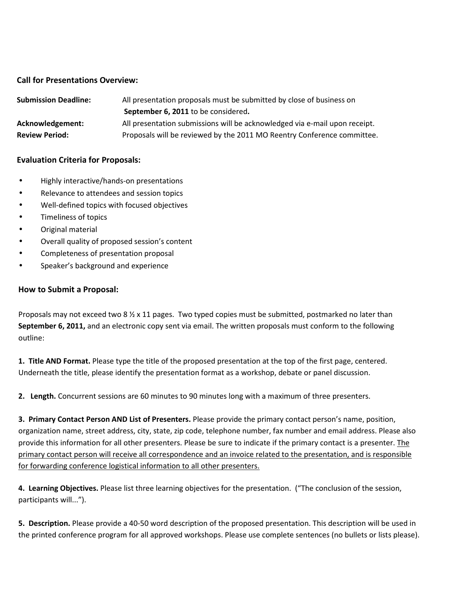#### **Call for Presentations Overview:**

| <b>Submission Deadline:</b> | All presentation proposals must be submitted by close of business on       |  |
|-----------------------------|----------------------------------------------------------------------------|--|
|                             | September 6, 2011 to be considered.                                        |  |
| Acknowledgement:            | All presentation submissions will be acknowledged via e-mail upon receipt. |  |
| <b>Review Period:</b>       | Proposals will be reviewed by the 2011 MO Reentry Conference committee.    |  |

#### **Evaluation Criteria for Proposals:**

- Highly interactive/hands-on presentations
- Relevance to attendees and session topics
- Well-defined topics with focused objectives
- Timeliness of topics
- Original material
- Overall quality of proposed session's content
- Completeness of presentation proposal
- Speaker's background and experience

#### **How to Submit a Proposal:**

Proposals may not exceed two 8  $\frac{1}{2}$  x 11 pages. Two typed copies must be submitted, postmarked no later than **September 6, 2011,** and an electronic copy sent via email. The written proposals must conform to the following outline:

**1. Title AND Format.** Please type the title of the proposed presentation at the top of the first page, centered. Underneath the title, please identify the presentation format as a workshop, debate or panel discussion.

**2. Length.** Concurrent sessions are 60 minutes to 90 minutes long with a maximum of three presenters.

**3. Primary Contact Person AND List of Presenters.** Please provide the primary contact person's name, position, organization name, street address, city, state, zip code, telephone number, fax number and email address. Please also provide this information for all other presenters. Please be sure to indicate if the primary contact is a presenter. The primary contact person will receive all correspondence and an invoice related to the presentation, and is responsible for forwarding conference logistical information to all other presenters.

**4. Learning Objectives.** Please list three learning objectives for the presentation. ("The conclusion of the session, participants will...").

**5. Description.** Please provide a 40-50 word description of the proposed presentation. This description will be used in the printed conference program for all approved workshops. Please use complete sentences (no bullets or lists please).